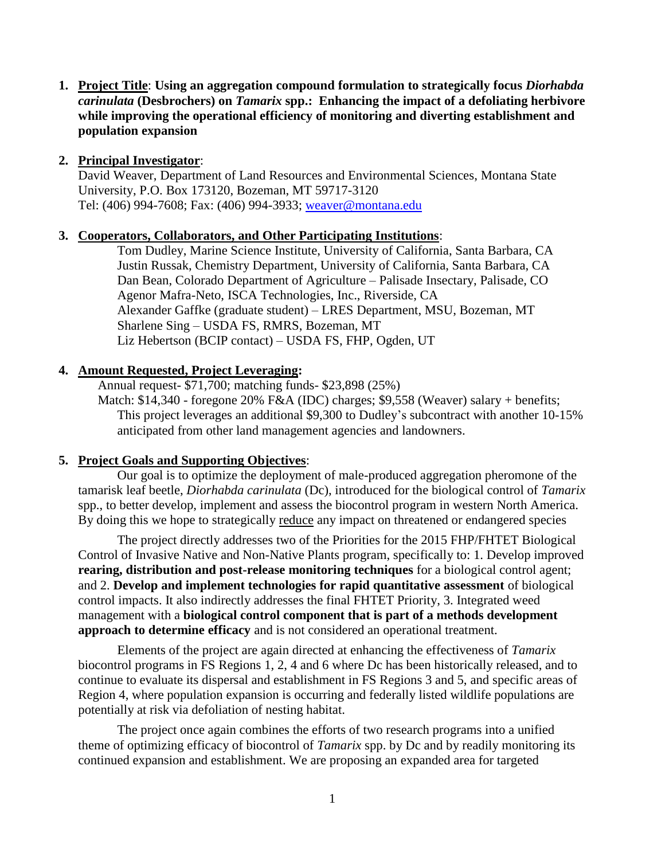**1. Project Title**: **Using an aggregation compound formulation to strategically focus** *Diorhabda carinulata* **(Desbrochers) on** *Tamarix* **spp.: Enhancing the impact of a defoliating herbivore while improving the operational efficiency of monitoring and diverting establishment and population expansion**

# **2. Principal Investigator**:

David Weaver, Department of Land Resources and Environmental Sciences, Montana State University, P.O. Box 173120, Bozeman, MT 59717-3120 Tel: (406) 994-7608; Fax: (406) 994-3933; [weaver@montana.edu](mailto:weaver@montana.edu)

# **3. Cooperators, Collaborators, and Other Participating Institutions**:

Tom Dudley, Marine Science Institute, University of California, Santa Barbara, CA Justin Russak, Chemistry Department, University of California, Santa Barbara, CA Dan Bean, Colorado Department of Agriculture – Palisade Insectary, Palisade, CO Agenor Mafra-Neto, ISCA Technologies, Inc., Riverside, CA Alexander Gaffke (graduate student) – LRES Department, MSU, Bozeman, MT Sharlene Sing – USDA FS, RMRS, Bozeman, MT Liz Hebertson (BCIP contact) – USDA FS, FHP, Ogden, UT

# **4. Amount Requested, Project Leveraging:**

 Annual request- \$71,700; matching funds- \$23,898 (25%) Match: \$14,340 - foregone 20% F&A (IDC) charges; \$9,558 (Weaver) salary + benefits; This project leverages an additional \$9,300 to Dudley's subcontract with another 10-15% anticipated from other land management agencies and landowners.

## **5. Project Goals and Supporting Objectives**:

Our goal is to optimize the deployment of male-produced aggregation pheromone of the tamarisk leaf beetle, *Diorhabda carinulata* (Dc), introduced for the biological control of *Tamarix* spp., to better develop, implement and assess the biocontrol program in western North America. By doing this we hope to strategically reduce any impact on threatened or endangered species

The project directly addresses two of the Priorities for the 2015 FHP/FHTET Biological Control of Invasive Native and Non-Native Plants program, specifically to: 1. Develop improved **rearing, distribution and post-release monitoring techniques** for a biological control agent; and 2. **Develop and implement technologies for rapid quantitative assessment** of biological control impacts. It also indirectly addresses the final FHTET Priority, 3. Integrated weed management with a **biological control component that is part of a methods development approach to determine efficacy** and is not considered an operational treatment.

Elements of the project are again directed at enhancing the effectiveness of *Tamarix*  biocontrol programs in FS Regions 1, 2, 4 and 6 where Dc has been historically released, and to continue to evaluate its dispersal and establishment in FS Regions 3 and 5, and specific areas of Region 4, where population expansion is occurring and federally listed wildlife populations are potentially at risk via defoliation of nesting habitat.

The project once again combines the efforts of two research programs into a unified theme of optimizing efficacy of biocontrol of *Tamarix* spp. by Dc and by readily monitoring its continued expansion and establishment. We are proposing an expanded area for targeted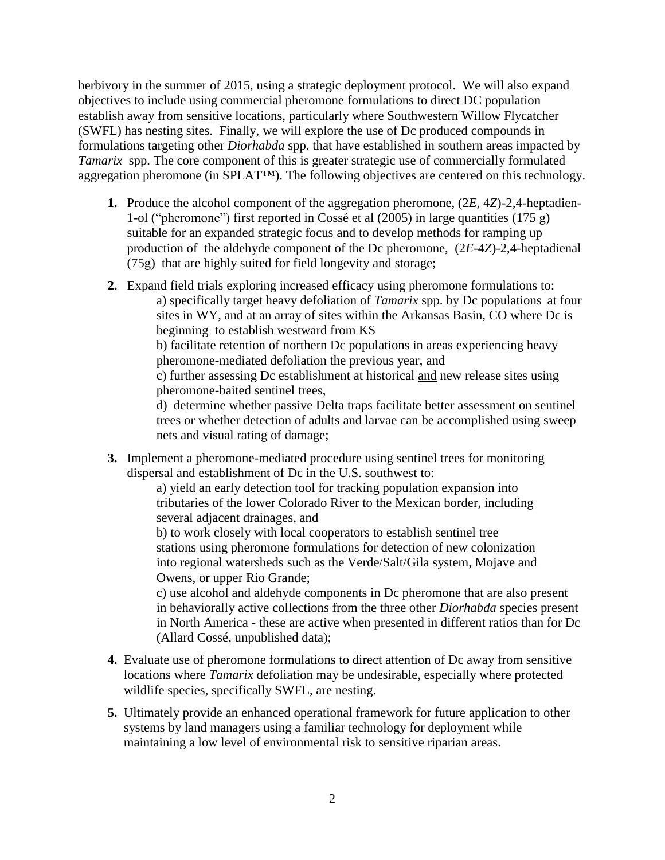herbivory in the summer of 2015, using a strategic deployment protocol. We will also expand objectives to include using commercial pheromone formulations to direct DC population establish away from sensitive locations, particularly where Southwestern Willow Flycatcher (SWFL) has nesting sites. Finally, we will explore the use of Dc produced compounds in formulations targeting other *Diorhabda* spp. that have established in southern areas impacted by *Tamarix* spp. The core component of this is greater strategic use of commercially formulated aggregation pheromone (in SPLAT™). The following objectives are centered on this technology.

- **1.** Produce the alcohol component of the aggregation pheromone, (2*E*, 4*Z*)-2,4-heptadien-1-ol ("pheromone") first reported in Cossé et al (2005) in large quantities (175 g) suitable for an expanded strategic focus and to develop methods for ramping up production of the aldehyde component of the Dc pheromone, (2*E*-4*Z*)-2,4-heptadienal (75g) that are highly suited for field longevity and storage;
- **2.** Expand field trials exploring increased efficacy using pheromone formulations to: a) specifically target heavy defoliation of *Tamarix* spp. by Dc populations at four sites in WY, and at an array of sites within the Arkansas Basin, CO where Dc is beginning to establish westward from KS b) facilitate retention of northern Dc populations in areas experiencing heavy pheromone-mediated defoliation the previous year, and c) further assessing Dc establishment at historical and new release sites using pheromone-baited sentinel trees, d) determine whether passive Delta traps facilitate better assessment on sentinel trees or whether detection of adults and larvae can be accomplished using sweep nets and visual rating of damage;
- **3.** Implement a pheromone-mediated procedure using sentinel trees for monitoring dispersal and establishment of Dc in the U.S. southwest to:

a) yield an early detection tool for tracking population expansion into tributaries of the lower Colorado River to the Mexican border, including several adjacent drainages, and

b) to work closely with local cooperators to establish sentinel tree stations using pheromone formulations for detection of new colonization into regional watersheds such as the Verde/Salt/Gila system, Mojave and Owens, or upper Rio Grande;

c) use alcohol and aldehyde components in Dc pheromone that are also present in behaviorally active collections from the three other *Diorhabda* species present in North America - these are active when presented in different ratios than for Dc (Allard Cossé, unpublished data);

- **4.** Evaluate use of pheromone formulations to direct attention of Dc away from sensitive locations where *Tamarix* defoliation may be undesirable, especially where protected wildlife species, specifically SWFL, are nesting.
- **5.** Ultimately provide an enhanced operational framework for future application to other systems by land managers using a familiar technology for deployment while maintaining a low level of environmental risk to sensitive riparian areas.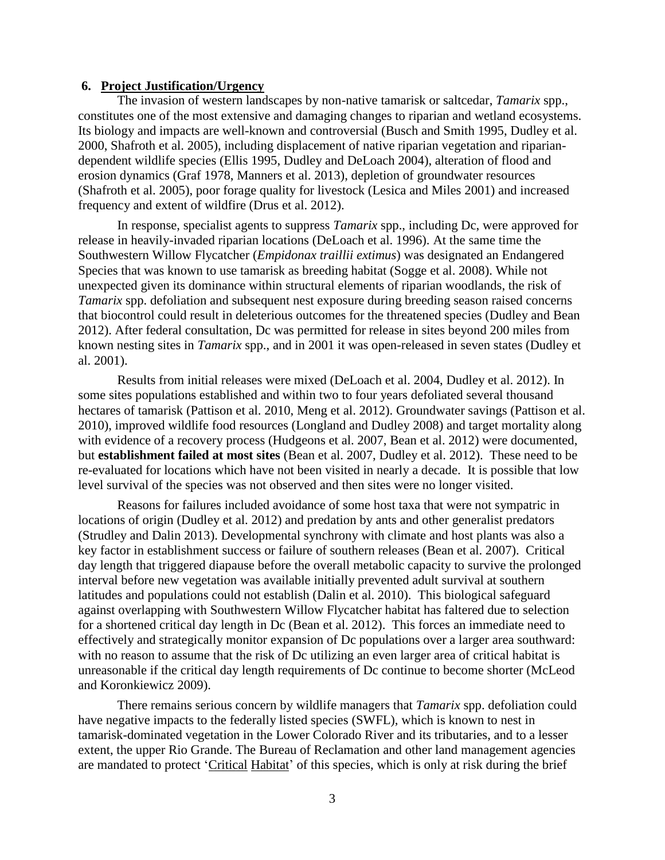## **6. Project Justification/Urgency**

The invasion of western landscapes by non-native tamarisk or saltcedar, *Tamarix* spp., constitutes one of the most extensive and damaging changes to riparian and wetland ecosystems. Its biology and impacts are well-known and controversial (Busch and Smith 1995, Dudley et al. 2000, Shafroth et al. 2005), including displacement of native riparian vegetation and ripariandependent wildlife species (Ellis 1995, Dudley and DeLoach 2004), alteration of flood and erosion dynamics (Graf 1978, Manners et al. 2013), depletion of groundwater resources (Shafroth et al. 2005), poor forage quality for livestock (Lesica and Miles 2001) and increased frequency and extent of wildfire (Drus et al. 2012).

In response, specialist agents to suppress *Tamarix* spp., including Dc, were approved for release in heavily-invaded riparian locations (DeLoach et al. 1996). At the same time the Southwestern Willow Flycatcher (*Empidonax traillii extimus*) was designated an Endangered Species that was known to use tamarisk as breeding habitat (Sogge et al. 2008). While not unexpected given its dominance within structural elements of riparian woodlands, the risk of *Tamarix* spp. defoliation and subsequent nest exposure during breeding season raised concerns that biocontrol could result in deleterious outcomes for the threatened species (Dudley and Bean 2012). After federal consultation, Dc was permitted for release in sites beyond 200 miles from known nesting sites in *Tamarix* spp., and in 2001 it was open-released in seven states (Dudley et al. 2001).

Results from initial releases were mixed (DeLoach et al. 2004, Dudley et al. 2012). In some sites populations established and within two to four years defoliated several thousand hectares of tamarisk (Pattison et al. 2010, Meng et al. 2012). Groundwater savings (Pattison et al. 2010), improved wildlife food resources (Longland and Dudley 2008) and target mortality along with evidence of a recovery process (Hudgeons et al. 2007, Bean et al. 2012) were documented, but **establishment failed at most sites** (Bean et al. 2007, Dudley et al. 2012). These need to be re-evaluated for locations which have not been visited in nearly a decade. It is possible that low level survival of the species was not observed and then sites were no longer visited.

Reasons for failures included avoidance of some host taxa that were not sympatric in locations of origin (Dudley et al. 2012) and predation by ants and other generalist predators (Strudley and Dalin 2013). Developmental synchrony with climate and host plants was also a key factor in establishment success or failure of southern releases (Bean et al. 2007). Critical day length that triggered diapause before the overall metabolic capacity to survive the prolonged interval before new vegetation was available initially prevented adult survival at southern latitudes and populations could not establish (Dalin et al. 2010). This biological safeguard against overlapping with Southwestern Willow Flycatcher habitat has faltered due to selection for a shortened critical day length in Dc (Bean et al. 2012). This forces an immediate need to effectively and strategically monitor expansion of Dc populations over a larger area southward: with no reason to assume that the risk of Dc utilizing an even larger area of critical habitat is unreasonable if the critical day length requirements of Dc continue to become shorter (McLeod and Koronkiewicz 2009).

There remains serious concern by wildlife managers that *Tamarix* spp. defoliation could have negative impacts to the federally listed species (SWFL), which is known to nest in tamarisk-dominated vegetation in the Lower Colorado River and its tributaries, and to a lesser extent, the upper Rio Grande. The Bureau of Reclamation and other land management agencies are mandated to protect 'Critical Habitat' of this species, which is only at risk during the brief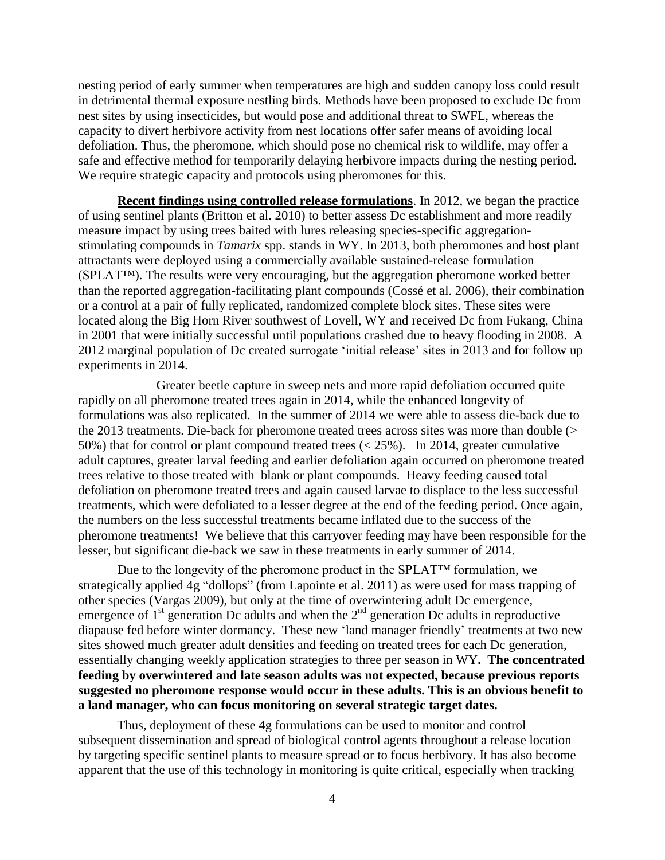nesting period of early summer when temperatures are high and sudden canopy loss could result in detrimental thermal exposure nestling birds. Methods have been proposed to exclude Dc from nest sites by using insecticides, but would pose and additional threat to SWFL, whereas the capacity to divert herbivore activity from nest locations offer safer means of avoiding local defoliation. Thus, the pheromone, which should pose no chemical risk to wildlife, may offer a safe and effective method for temporarily delaying herbivore impacts during the nesting period. We require strategic capacity and protocols using pheromones for this.

**Recent findings using controlled release formulations**. In 2012, we began the practice of using sentinel plants (Britton et al. 2010) to better assess Dc establishment and more readily measure impact by using trees baited with lures releasing species-specific aggregationstimulating compounds in *Tamarix* spp. stands in WY. In 2013, both pheromones and host plant attractants were deployed using a commercially available sustained-release formulation (SPLAT™). The results were very encouraging, but the aggregation pheromone worked better than the reported aggregation-facilitating plant compounds (Cossé et al. 2006), their combination or a control at a pair of fully replicated, randomized complete block sites. These sites were located along the Big Horn River southwest of Lovell, WY and received Dc from Fukang, China in 2001 that were initially successful until populations crashed due to heavy flooding in 2008. A 2012 marginal population of Dc created surrogate 'initial release' sites in 2013 and for follow up experiments in 2014.

Greater beetle capture in sweep nets and more rapid defoliation occurred quite rapidly on all pheromone treated trees again in 2014, while the enhanced longevity of formulations was also replicated. In the summer of 2014 we were able to assess die-back due to the 2013 treatments. Die-back for pheromone treated trees across sites was more than double (> 50%) that for control or plant compound treated trees (< 25%). In 2014, greater cumulative adult captures, greater larval feeding and earlier defoliation again occurred on pheromone treated trees relative to those treated with blank or plant compounds. Heavy feeding caused total defoliation on pheromone treated trees and again caused larvae to displace to the less successful treatments, which were defoliated to a lesser degree at the end of the feeding period. Once again, the numbers on the less successful treatments became inflated due to the success of the pheromone treatments! We believe that this carryover feeding may have been responsible for the lesser, but significant die-back we saw in these treatments in early summer of 2014.

Due to the longevity of the pheromone product in the SPLAT™ formulation, we strategically applied 4g "dollops" (from Lapointe et al. 2011) as were used for mass trapping of other species (Vargas 2009), but only at the time of overwintering adult Dc emergence, emergence of  $1<sup>st</sup>$  generation Dc adults and when the  $2<sup>nd</sup>$  generation Dc adults in reproductive diapause fed before winter dormancy. These new 'land manager friendly' treatments at two new sites showed much greater adult densities and feeding on treated trees for each Dc generation, essentially changing weekly application strategies to three per season in WY**. The concentrated feeding by overwintered and late season adults was not expected, because previous reports suggested no pheromone response would occur in these adults. This is an obvious benefit to a land manager, who can focus monitoring on several strategic target dates.**

Thus, deployment of these 4g formulations can be used to monitor and control subsequent dissemination and spread of biological control agents throughout a release location by targeting specific sentinel plants to measure spread or to focus herbivory. It has also become apparent that the use of this technology in monitoring is quite critical, especially when tracking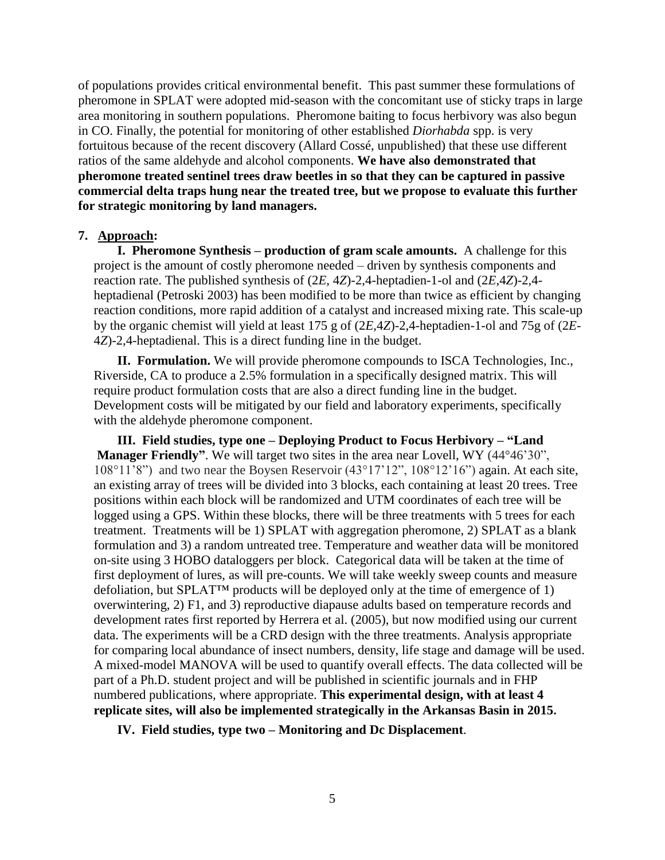of populations provides critical environmental benefit. This past summer these formulations of pheromone in SPLAT were adopted mid-season with the concomitant use of sticky traps in large area monitoring in southern populations. Pheromone baiting to focus herbivory was also begun in CO. Finally, the potential for monitoring of other established *Diorhabda* spp. is very fortuitous because of the recent discovery (Allard Cossé, unpublished) that these use different ratios of the same aldehyde and alcohol components. **We have also demonstrated that pheromone treated sentinel trees draw beetles in so that they can be captured in passive commercial delta traps hung near the treated tree, but we propose to evaluate this further for strategic monitoring by land managers.** 

## **7. Approach:**

**I. Pheromone Synthesis – production of gram scale amounts.** A challenge for this project is the amount of costly pheromone needed – driven by synthesis components and reaction rate. The published synthesis of (2*E*, 4*Z*)-2,4-heptadien-1-ol and (2*E*,4*Z*)-2,4 heptadienal (Petroski 2003) has been modified to be more than twice as efficient by changing reaction conditions, more rapid addition of a catalyst and increased mixing rate. This scale-up by the organic chemist will yield at least 175 g of (2*E*,4*Z*)-2,4-heptadien-1-ol and 75g of (2*E*-4*Z*)-2,4-heptadienal. This is a direct funding line in the budget.

**II. Formulation.** We will provide pheromone compounds to ISCA Technologies, Inc., Riverside, CA to produce a 2.5% formulation in a specifically designed matrix. This will require product formulation costs that are also a direct funding line in the budget. Development costs will be mitigated by our field and laboratory experiments, specifically with the aldehyde pheromone component.

**III. Field studies, type one – Deploying Product to Focus Herbivory – "Land Manager Friendly"**. We will target two sites in the area near Lovell, WY (44°46'30", 108°11'8") and two near the Boysen Reservoir (43°17'12", 108°12'16") again. At each site, an existing array of trees will be divided into 3 blocks, each containing at least 20 trees. Tree positions within each block will be randomized and UTM coordinates of each tree will be logged using a GPS. Within these blocks, there will be three treatments with 5 trees for each treatment. Treatments will be 1) SPLAT with aggregation pheromone, 2) SPLAT as a blank formulation and 3) a random untreated tree. Temperature and weather data will be monitored on-site using 3 HOBO dataloggers per block. Categorical data will be taken at the time of first deployment of lures, as will pre-counts. We will take weekly sweep counts and measure defoliation, but SPLAT™ products will be deployed only at the time of emergence of 1) overwintering, 2) F1, and 3) reproductive diapause adults based on temperature records and development rates first reported by Herrera et al. (2005), but now modified using our current data. The experiments will be a CRD design with the three treatments. Analysis appropriate for comparing local abundance of insect numbers, density, life stage and damage will be used. A mixed-model MANOVA will be used to quantify overall effects. The data collected will be part of a Ph.D. student project and will be published in scientific journals and in FHP numbered publications, where appropriate. **This experimental design, with at least 4 replicate sites, will also be implemented strategically in the Arkansas Basin in 2015.**

**IV. Field studies, type two – Monitoring and Dc Displacement**.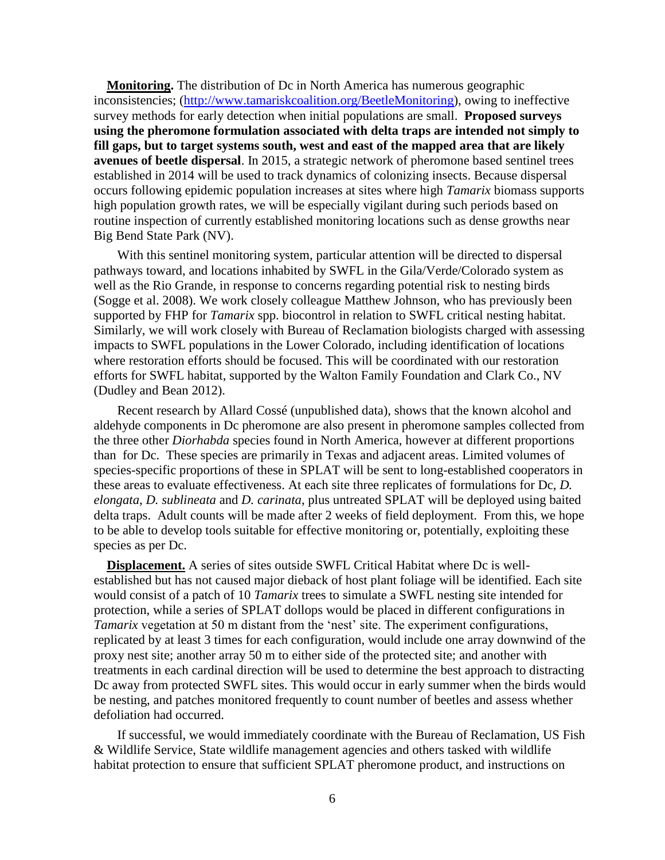**Monitoring.** The distribution of Dc in North America has numerous geographic inconsistencies; [\(http://www.tamariskcoalition.org/BeetleMonitoring\)](http://www.tamariskcoalition.org/BeetleMonitoring), owing to ineffective survey methods for early detection when initial populations are small. **Proposed surveys using the pheromone formulation associated with delta traps are intended not simply to fill gaps, but to target systems south, west and east of the mapped area that are likely avenues of beetle dispersal**. In 2015, a strategic network of pheromone based sentinel trees established in 2014 will be used to track dynamics of colonizing insects. Because dispersal occurs following epidemic population increases at sites where high *Tamarix* biomass supports high population growth rates, we will be especially vigilant during such periods based on routine inspection of currently established monitoring locations such as dense growths near Big Bend State Park (NV).

With this sentinel monitoring system, particular attention will be directed to dispersal pathways toward, and locations inhabited by SWFL in the Gila/Verde/Colorado system as well as the Rio Grande, in response to concerns regarding potential risk to nesting birds (Sogge et al. 2008). We work closely colleague Matthew Johnson, who has previously been supported by FHP for *Tamarix* spp. biocontrol in relation to SWFL critical nesting habitat. Similarly, we will work closely with Bureau of Reclamation biologists charged with assessing impacts to SWFL populations in the Lower Colorado, including identification of locations where restoration efforts should be focused. This will be coordinated with our restoration efforts for SWFL habitat, supported by the Walton Family Foundation and Clark Co., NV (Dudley and Bean 2012).

Recent research by Allard Cossé (unpublished data), shows that the known alcohol and aldehyde components in Dc pheromone are also present in pheromone samples collected from the three other *Diorhabda* species found in North America, however at different proportions than for Dc. These species are primarily in Texas and adjacent areas. Limited volumes of species-specific proportions of these in SPLAT will be sent to long-established cooperators in these areas to evaluate effectiveness. At each site three replicates of formulations for Dc, *D. elongata*, *D. sublineata* and *D. carinata*, plus untreated SPLAT will be deployed using baited delta traps. Adult counts will be made after 2 weeks of field deployment. From this, we hope to be able to develop tools suitable for effective monitoring or, potentially, exploiting these species as per Dc.

**Displacement.** A series of sites outside SWFL Critical Habitat where Dc is wellestablished but has not caused major dieback of host plant foliage will be identified. Each site would consist of a patch of 10 *Tamarix* trees to simulate a SWFL nesting site intended for protection, while a series of SPLAT dollops would be placed in different configurations in *Tamarix* vegetation at 50 m distant from the 'nest' site. The experiment configurations, replicated by at least 3 times for each configuration, would include one array downwind of the proxy nest site; another array 50 m to either side of the protected site; and another with treatments in each cardinal direction will be used to determine the best approach to distracting Dc away from protected SWFL sites. This would occur in early summer when the birds would be nesting, and patches monitored frequently to count number of beetles and assess whether defoliation had occurred.

If successful, we would immediately coordinate with the Bureau of Reclamation, US Fish & Wildlife Service, State wildlife management agencies and others tasked with wildlife habitat protection to ensure that sufficient SPLAT pheromone product, and instructions on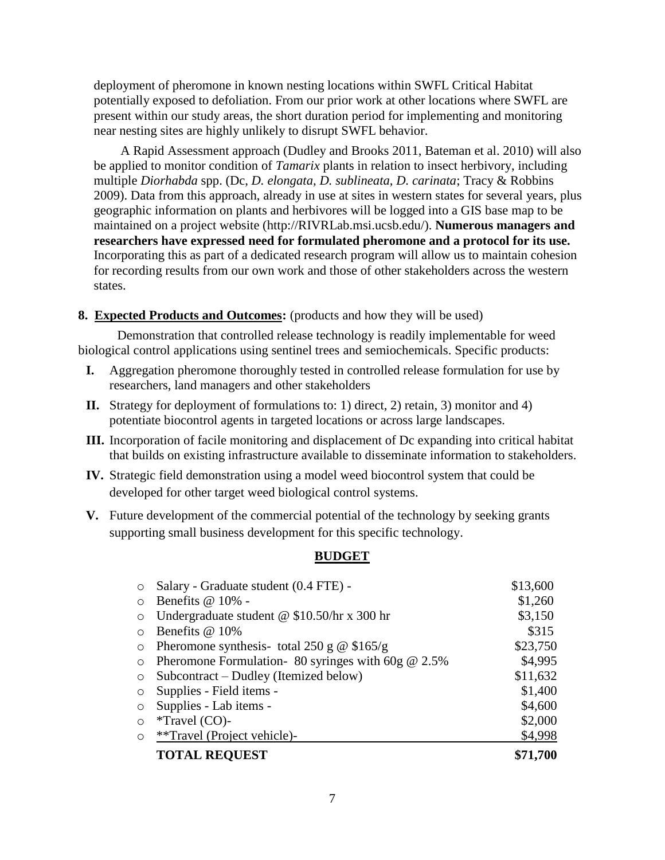deployment of pheromone in known nesting locations within SWFL Critical Habitat potentially exposed to defoliation. From our prior work at other locations where SWFL are present within our study areas, the short duration period for implementing and monitoring near nesting sites are highly unlikely to disrupt SWFL behavior.

A Rapid Assessment approach (Dudley and Brooks 2011, Bateman et al. 2010) will also be applied to monitor condition of *Tamarix* plants in relation to insect herbivory, including multiple *Diorhabda* spp. (Dc, *D. elongata, D. sublineata, D. carinata*; Tracy & Robbins 2009). Data from this approach, already in use at sites in western states for several years, plus geographic information on plants and herbivores will be logged into a GIS base map to be maintained on a project website (http://RIVRLab.msi.ucsb.edu/). **Numerous managers and researchers have expressed need for formulated pheromone and a protocol for its use.** Incorporating this as part of a dedicated research program will allow us to maintain cohesion for recording results from our own work and those of other stakeholders across the western states.

## **8. Expected Products and Outcomes:** (products and how they will be used)

Demonstration that controlled release technology is readily implementable for weed biological control applications using sentinel trees and semiochemicals. Specific products:

- **I.** Aggregation pheromone thoroughly tested in controlled release formulation for use by researchers, land managers and other stakeholders
- **II.** Strategy for deployment of formulations to: 1) direct, 2) retain, 3) monitor and 4) potentiate biocontrol agents in targeted locations or across large landscapes.
- **III.** Incorporation of facile monitoring and displacement of Dc expanding into critical habitat that builds on existing infrastructure available to disseminate information to stakeholders.
- **IV.** Strategic field demonstration using a model weed biocontrol system that could be developed for other target weed biological control systems.
- **V.** Future development of the commercial potential of the technology by seeking grants supporting small business development for this specific technology.

## **BUDGET**

| $\circ$    | Salary - Graduate student (0.4 FTE) -                | \$13,600 |
|------------|------------------------------------------------------|----------|
| $\circ$    | Benefits $@10\%$ -                                   | \$1,260  |
| $\circ$    | Undergraduate student @ $$10.50/hr \times 300 hr$    | \$3,150  |
| $\bigcirc$ | Benefits @ 10%                                       | \$315    |
| $\circ$    | Pheromone synthesis- total 250 g $\omega$ \$165/g    | \$23,750 |
| $\circ$    | Pheromone Formulation- 80 syringes with 60g $@$ 2.5% | \$4,995  |
| $\circ$    | Subcontract – Dudley (Itemized below)                | \$11,632 |
| $\circ$    | Supplies - Field items -                             | \$1,400  |
| $\circ$    | Supplies - Lab items -                               | \$4,600  |
| $\circ$    | $*$ Travel (CO)-                                     | \$2,000  |
| $\circ$    | **Travel (Project vehicle)-                          | \$4,998  |
|            | <b>TOTAL REQUEST</b>                                 | \$71,700 |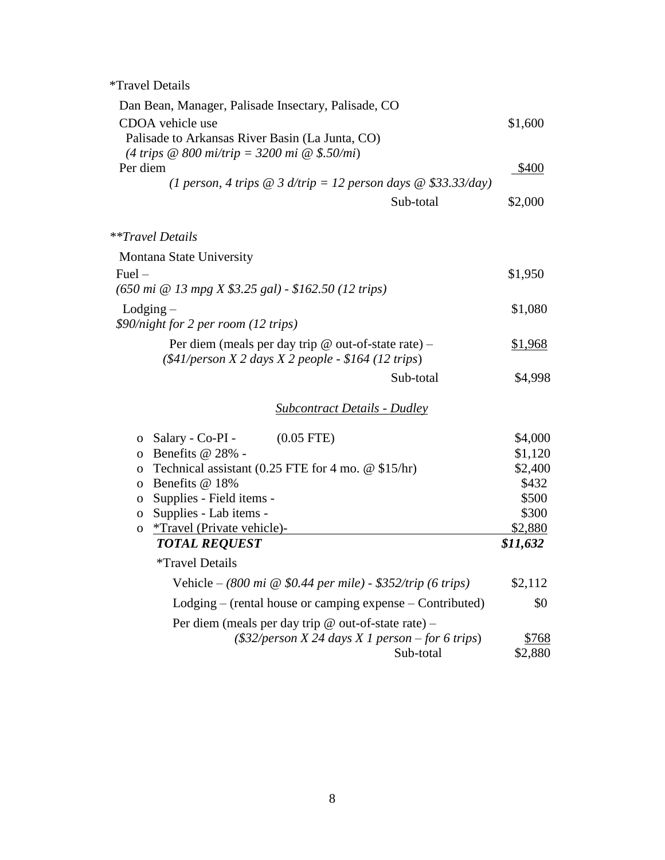\*Travel Details

| Dan Bean, Manager, Palisade Insectary, Palisade, CO<br>CDOA vehicle use<br>Palisade to Arkansas River Basin (La Junta, CO)<br>(4 trips $\omega$ 800 mi/trip = 3200 mi $\omega$ \$.50/mi)<br>Per diem<br>(1 person, 4 trips $\omega$ 3 d/trip = 12 person days $\omega$ \$33.33/day)<br>Sub-total                                                                                                                                                                                                                                | \$1,600<br>\$400<br>\$2,000                                                                       |
|---------------------------------------------------------------------------------------------------------------------------------------------------------------------------------------------------------------------------------------------------------------------------------------------------------------------------------------------------------------------------------------------------------------------------------------------------------------------------------------------------------------------------------|---------------------------------------------------------------------------------------------------|
| **Travel Details                                                                                                                                                                                                                                                                                                                                                                                                                                                                                                                |                                                                                                   |
| Montana State University                                                                                                                                                                                                                                                                                                                                                                                                                                                                                                        |                                                                                                   |
| $Fuel -$<br>$(650 \text{ mi } @ 13 \text{ mpg } X $3.25 \text{ gal}) - $162.50 (12 \text{ trips})$                                                                                                                                                                                                                                                                                                                                                                                                                              | \$1,950                                                                                           |
| $L$ odging $-$<br>\$90/night for 2 per room (12 trips)                                                                                                                                                                                                                                                                                                                                                                                                                                                                          | \$1,080                                                                                           |
| Per diem (meals per day trip $@$ out-of-state rate) –<br>$(\$41/person X 2 days X 2 people - $164 (12 trips)$                                                                                                                                                                                                                                                                                                                                                                                                                   | \$1,968                                                                                           |
| Sub-total                                                                                                                                                                                                                                                                                                                                                                                                                                                                                                                       | \$4,998                                                                                           |
| <b>Subcontract Details - Dudley</b>                                                                                                                                                                                                                                                                                                                                                                                                                                                                                             |                                                                                                   |
| $(0.05$ FTE)<br>o Salary - Co-PI -<br>Benefits @ 28% -<br>$\overline{O}$<br>Technical assistant (0.25 FTE for 4 mo. $@$ \$15/hr)<br>0<br>Benefits @ 18%<br>$\mathbf{O}$<br>Supplies - Field items -<br>0<br>Supplies - Lab items -<br>0<br><i>*Travel (Private vehicle)-</i><br>0<br><b>TOTAL REQUEST</b><br><i>*Travel Details</i><br>Vehicle – (800 mi $\omega$ \$0.44 per mile) - \$352/trip (6 trips)<br>$Lodging$ – (rental house or camping expense – Contributed)<br>Per diem (meals per day trip @ out-of-state rate) – | \$4,000<br>\$1,120<br>\$2,400<br>\$432<br>\$500<br>\$300<br>\$2,880<br>\$11,632<br>\$2,112<br>\$0 |
| $(\$32/person X 24 days X 1 person - for 6 trips)$<br>Sub-total                                                                                                                                                                                                                                                                                                                                                                                                                                                                 | \$768<br>\$2,880                                                                                  |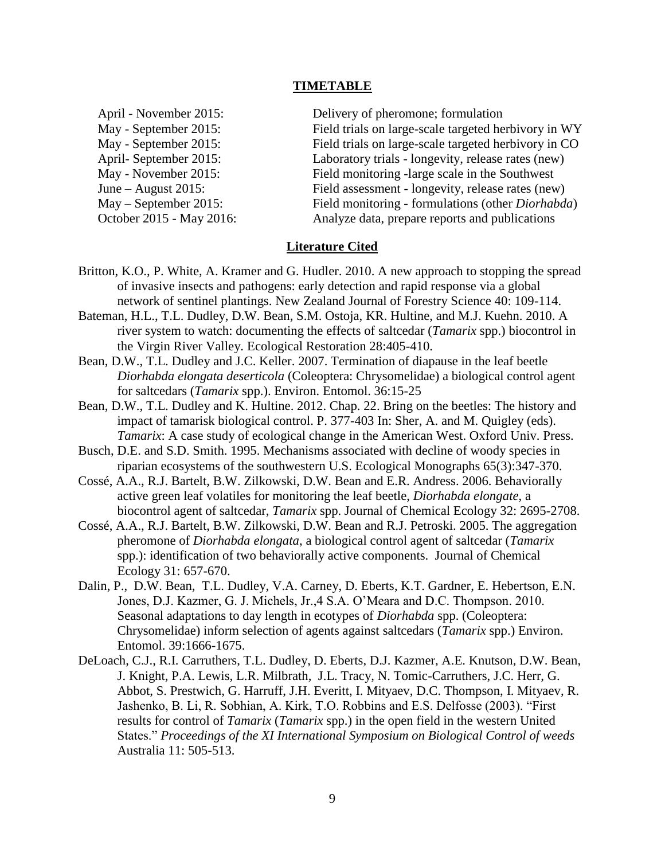## **TIMETABLE**

April - November 2015: Delivery of pheromone; formulation May - September 2015: Field trials on large-scale targeted herbivory in WY May - September 2015: Field trials on large-scale targeted herbivory in CO April- September 2015: Laboratory trials - longevity, release rates (new) May - November 2015: Field monitoring -large scale in the Southwest June – August 2015: Field assessment - longevity, release rates (new) May – September 2015: Field monitoring - formulations (other *Diorhabda*) October 2015 - May 2016: Analyze data, prepare reports and publications

# **Literature Cited**

- Britton, K.O., P. White, A. Kramer and G. Hudler. 2010. A new approach to stopping the spread of invasive insects and pathogens: early detection and rapid response via a global network of sentinel plantings. New Zealand Journal of Forestry Science 40: 109-114.
- Bateman, H.L., T.L. Dudley, D.W. Bean, S.M. Ostoja, KR. Hultine, and M.J. Kuehn. 2010. A river system to watch: documenting the effects of saltcedar (*Tamarix* spp.) biocontrol in the Virgin River Valley. Ecological Restoration 28:405-410.
- Bean, D.W., T.L. Dudley and J.C. Keller. 2007. Termination of diapause in the leaf beetle *Diorhabda elongata deserticola* (Coleoptera: Chrysomelidae) a biological control agent for saltcedars (*Tamarix* spp.). Environ. Entomol. 36:15-25
- Bean, D.W., T.L. Dudley and K. Hultine. 2012. Chap. 22. Bring on the beetles: The history and impact of tamarisk biological control. P. 377-403 In: Sher, A. and M. Quigley (eds). *Tamarix*: A case study of ecological change in the American West. Oxford Univ. Press.
- Busch, D.E. and S.D. Smith. 1995. Mechanisms associated with decline of woody species in riparian ecosystems of the southwestern U.S. Ecological Monographs 65(3):347-370.
- Cossé, A.A., R.J. Bartelt, B.W. Zilkowski, D.W. Bean and E.R. Andress. 2006. Behaviorally active green leaf volatiles for monitoring the leaf beetle, *Diorhabda elongate*, a biocontrol agent of saltcedar, *Tamarix* spp. Journal of Chemical Ecology 32: 2695-2708.
- Cossé, A.A., R.J. Bartelt, B.W. Zilkowski, D.W. Bean and R.J. Petroski. 2005. The aggregation pheromone of *Diorhabda elongata*, a biological control agent of saltcedar (*Tamarix* spp.): identification of two behaviorally active components. Journal of Chemical Ecology 31: 657-670.
- Dalin, P., D.W. Bean, T.L. Dudley, V.A. Carney, D. Eberts, K.T. Gardner, E. Hebertson, E.N. Jones, D.J. Kazmer, G. J. Michels, Jr.,4 S.A. O'Meara and D.C. Thompson. 2010. Seasonal adaptations to day length in ecotypes of *Diorhabda* spp. (Coleoptera: Chrysomelidae) inform selection of agents against saltcedars (*Tamarix* spp.) Environ. Entomol. 39:1666-1675.
- DeLoach, C.J., R.I. Carruthers, T.L. Dudley, D. Eberts, D.J. Kazmer, A.E. Knutson, D.W. Bean, J. Knight, P.A. Lewis, L.R. Milbrath, J.L. Tracy, N. Tomic-Carruthers, J.C. Herr, G. Abbot, S. Prestwich, G. Harruff, J.H. Everitt, I. Mityaev, D.C. Thompson, I. Mityaev, R. Jashenko, B. Li, R. Sobhian, A. Kirk, T.O. Robbins and E.S. Delfosse (2003). "First results for control of *Tamarix* (*Tamarix* spp.) in the open field in the western United States." *Proceedings of the XI International Symposium on Biological Control of weeds*  Australia 11: 505-513.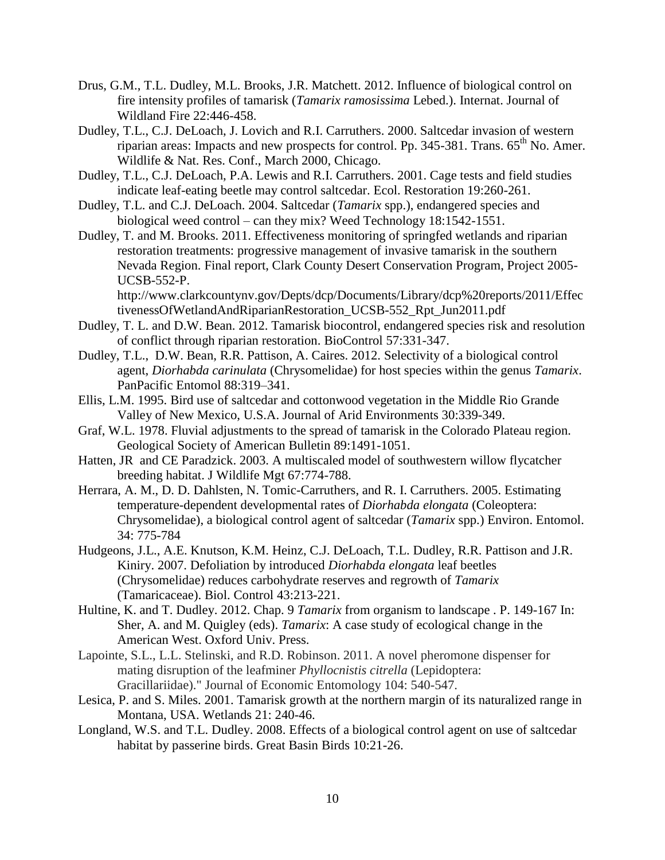- Drus, G.M., T.L. Dudley, M.L. Brooks, J.R. Matchett. 2012. Influence of biological control on fire intensity profiles of tamarisk (*Tamarix ramosissima* Lebed.). Internat. Journal of Wildland Fire 22:446-458.
- Dudley, T.L., C.J. DeLoach, J. Lovich and R.I. Carruthers. 2000. Saltcedar invasion of western riparian areas: Impacts and new prospects for control. Pp. 345-381. Trans. 65<sup>th</sup> No. Amer. Wildlife & Nat. Res. Conf., March 2000, Chicago.
- Dudley, T.L., C.J. DeLoach, P.A. Lewis and R.I. Carruthers. 2001. Cage tests and field studies indicate leaf-eating beetle may control saltcedar. Ecol. Restoration 19:260-261.
- Dudley, T.L. and C.J. DeLoach. 2004. Saltcedar (*Tamarix* spp.), endangered species and biological weed control – can they mix? Weed Technology 18:1542-1551.
- Dudley, T. and M. Brooks. 2011. Effectiveness monitoring of springfed wetlands and riparian restoration treatments: progressive management of invasive tamarisk in the southern Nevada Region. Final report, Clark County Desert Conservation Program, Project 2005- UCSB-552-P.

http://www.clarkcountynv.gov/Depts/dcp/Documents/Library/dcp%20reports/2011/Effec tivenessOfWetlandAndRiparianRestoration\_UCSB-552\_Rpt\_Jun2011.pdf

- Dudley, T. L. and D.W. Bean. 2012. Tamarisk biocontrol, endangered species risk and resolution of conflict through riparian restoration. BioControl 57:331-347.
- Dudley, T.L., D.W. Bean, R.R. Pattison, A. Caires. 2012. Selectivity of a biological control agent, *Diorhabda carinulata* (Chrysomelidae) for host species within the genus *Tamarix*. PanPacific Entomol 88:319–341.
- Ellis, L.M. 1995. Bird use of saltcedar and cottonwood vegetation in the Middle Rio Grande Valley of New Mexico, U.S.A. Journal of Arid Environments 30:339-349.
- Graf, W.L. 1978. Fluvial adjustments to the spread of tamarisk in the Colorado Plateau region. Geological Society of American Bulletin 89:1491-1051.
- Hatten, JR and CE Paradzick. 2003. A multiscaled model of southwestern willow flycatcher breeding habitat. J Wildlife Mgt 67:774-788.
- Herrara, A. M., D. D. Dahlsten, N. Tomic-Carruthers, and R. I. Carruthers. 2005. Estimating temperature-dependent developmental rates of *Diorhabda elongata* (Coleoptera: Chrysomelidae), a biological control agent of saltcedar (*Tamarix* spp.) Environ. Entomol. 34: 775-784
- Hudgeons, J.L., A.E. Knutson, K.M. Heinz, C.J. DeLoach, T.L. Dudley, R.R. Pattison and J.R. Kiniry. 2007. Defoliation by introduced *Diorhabda elongata* leaf beetles (Chrysomelidae) reduces carbohydrate reserves and regrowth of *Tamarix* (Tamaricaceae). Biol. Control 43:213-221.
- Hultine, K. and T. Dudley. 2012. Chap. 9 *Tamarix* from organism to landscape . P. 149-167 In: Sher, A. and M. Quigley (eds). *Tamarix*: A case study of ecological change in the American West. Oxford Univ. Press.
- Lapointe, S.L., L.L. Stelinski, and R.D. Robinson. 2011. A novel pheromone dispenser for mating disruption of the leafminer *Phyllocnistis citrella* (Lepidoptera: Gracillariidae)." Journal of Economic Entomology 104: 540-547.
- Lesica, P. and S. Miles. 2001. Tamarisk growth at the northern margin of its naturalized range in Montana, USA. Wetlands 21: 240-46.
- Longland, W.S. and T.L. Dudley. 2008. Effects of a biological control agent on use of saltcedar habitat by passerine birds. Great Basin Birds 10:21-26.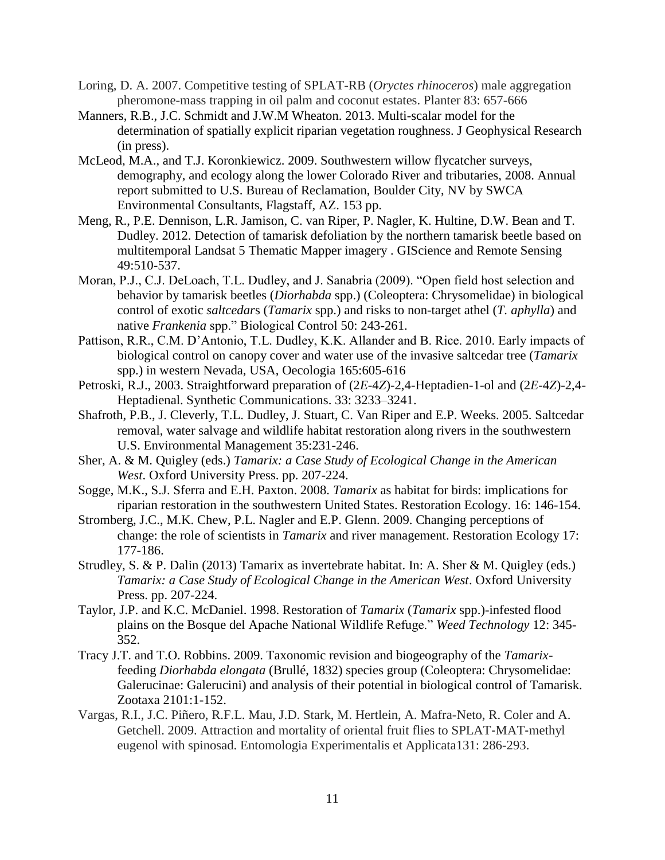- Loring, D. A. 2007. Competitive testing of SPLAT-RB (*Oryctes rhinoceros*) male aggregation pheromone-mass trapping in oil palm and coconut estates. Planter 83: 657-666
- Manners, R.B., J.C. Schmidt and J.W.M Wheaton. 2013. Multi-scalar model for the determination of spatially explicit riparian vegetation roughness. J Geophysical Research (in press).
- McLeod, M.A., and T.J. Koronkiewicz. 2009. Southwestern willow flycatcher surveys, demography, and ecology along the lower Colorado River and tributaries, 2008. Annual report submitted to U.S. Bureau of Reclamation, Boulder City, NV by SWCA Environmental Consultants, Flagstaff, AZ. 153 pp.
- Meng, R., P.E. Dennison, L.R. Jamison, C. van Riper, P. Nagler, K. Hultine, D.W. Bean and T. Dudley. 2012. Detection of tamarisk defoliation by the northern tamarisk beetle based on multitemporal Landsat 5 Thematic Mapper imagery . GIScience and Remote Sensing 49:510-537.
- Moran, P.J., C.J. DeLoach, T.L. Dudley, and J. Sanabria (2009). "Open field host selection and behavior by tamarisk beetles (*Diorhabda* spp.) (Coleoptera: Chrysomelidae) in biological control of exotic *saltcedar*s (*Tamarix* spp.) and risks to non-target athel (*T. aphylla*) and native *Frankenia* spp." Biological Control 50: 243-261.
- Pattison, R.R., C.M. D'Antonio, T.L. Dudley, K.K. Allander and B. Rice. 2010. Early impacts of biological control on canopy cover and water use of the invasive saltcedar tree (*Tamarix* spp.) in western Nevada, USA, Oecologia 165:605-616
- Petroski, R.J., 2003. Straightforward preparation of (2*E*-4*Z*)-2,4-Heptadien-1-ol and (2*E*-4*Z*)-2,4- Heptadienal. Synthetic Communications. 33: 3233–3241.
- Shafroth, P.B., J. Cleverly, T.L. Dudley, J. Stuart, C. Van Riper and E.P. Weeks. 2005. Saltcedar removal, water salvage and wildlife habitat restoration along rivers in the southwestern U.S. Environmental Management 35:231-246.
- Sher, A. & M. Quigley (eds.) *Tamarix: a Case Study of Ecological Change in the American West*. Oxford University Press. pp. 207-224.
- Sogge, M.K., S.J. Sferra and E.H. Paxton. 2008. *Tamarix* as habitat for birds: implications for riparian restoration in the southwestern United States. Restoration Ecology. 16: 146-154.
- Stromberg, J.C., M.K. Chew, P.L. Nagler and E.P. Glenn. 2009. Changing perceptions of change: the role of scientists in *Tamarix* and river management. Restoration Ecology 17: 177-186.
- Strudley, S. & P. Dalin (2013) Tamarix as invertebrate habitat. In: A. Sher & M. Quigley (eds.) *Tamarix: a Case Study of Ecological Change in the American West*. Oxford University Press. pp. 207-224.
- Taylor, J.P. and K.C. McDaniel. 1998. Restoration of *Tamarix* (*Tamarix* spp.)-infested flood plains on the Bosque del Apache National Wildlife Refuge." *Weed Technology* 12: 345- 352.
- Tracy J.T. and T.O. Robbins. 2009. Taxonomic revision and biogeography of the *Tamarix*feeding *Diorhabda elongata* (Brullé, 1832) species group (Coleoptera: Chrysomelidae: Galerucinae: Galerucini) and analysis of their potential in biological control of Tamarisk. Zootaxa 2101:1-152.
- Vargas, R.I., J.C. Piñero, R.F.L. Mau, J.D. Stark, M. Hertlein, A. Mafra-Neto, R. Coler and A. Getchell. 2009. Attraction and mortality of oriental fruit flies to SPLAT‐MAT‐methyl eugenol with spinosad. Entomologia Experimentalis et Applicata131: 286-293.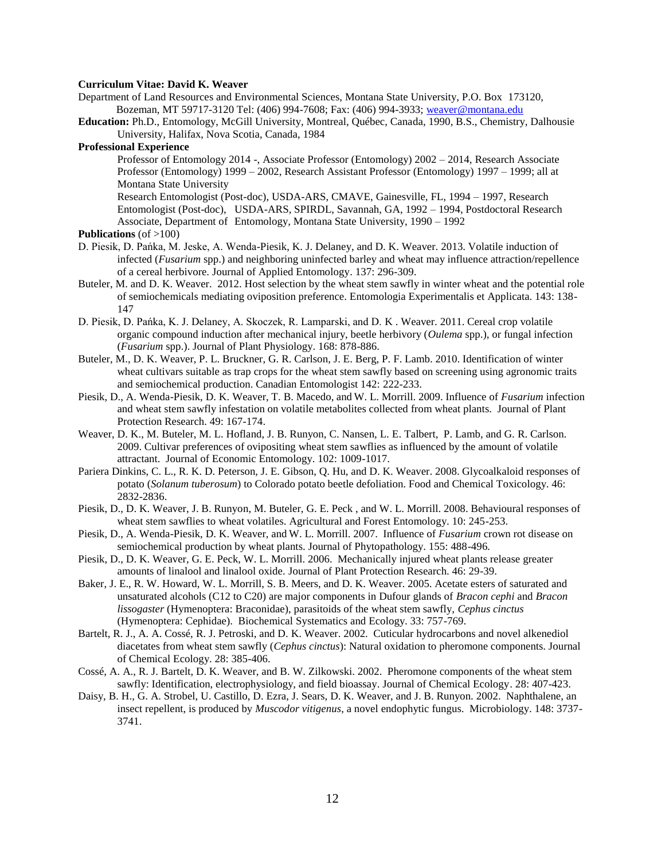## **Curriculum Vitae: David K. Weaver**

- Department of Land Resources and Environmental Sciences, Montana State University, P.O. Box 173120, Bozeman, MT 59717-3120 Tel: (406) 994-7608; Fax: (406) 994-3933[; weaver@montana.edu](mailto:weaver@montana.edu)
- **Education:** Ph.D., Entomology, McGill University, Montreal, Québec, Canada, 1990, B.S., Chemistry, Dalhousie University, Halifax, Nova Scotia, Canada, 1984

## **Professional Experience**

Professor of Entomology 2014 -, Associate Professor (Entomology) 2002 – 2014, Research Associate Professor (Entomology) 1999 – 2002, Research Assistant Professor (Entomology) 1997 – 1999; all at Montana State University

Research Entomologist (Post-doc), USDA-ARS, CMAVE, Gainesville, FL, 1994 – 1997, Research Entomologist (Post-doc), USDA-ARS, SPIRDL, Savannah, GA, 1992 – 1994, Postdoctoral Research Associate, Department of Entomology, Montana State University, 1990 – 1992

#### **Publications** (of >100)

- D. Piesik, D. Pańka, M. Jeske, A. Wenda-Piesik, K. J. Delaney, and D. K. Weaver. 2013. Volatile induction of infected (*Fusarium* spp.) and neighboring uninfected barley and wheat may influence attraction/repellence of a cereal herbivore. Journal of Applied Entomology. 137: 296-309.
- Buteler, M. and D. K. Weaver. 2012. Host selection by the wheat stem sawfly in winter wheat and the potential role of semiochemicals mediating oviposition preference. Entomologia Experimentalis et Applicata. 143: 138- 147
- D. Piesik, D. Pańka, K. J. Delaney, A. Skoczek, R. Lamparski, and D. K . Weaver. 2011. Cereal crop volatile organic compound induction after mechanical injury, beetle herbivory (*Oulema* spp.), or fungal infection (*Fusarium* spp.). Journal of Plant Physiology. 168: 878-886.
- Buteler, M., D. K. Weaver, P. L. Bruckner, G. R. Carlson, J. E. Berg, P. F. Lamb. 2010. Identification of winter wheat cultivars suitable as trap crops for the wheat stem sawfly based on screening using agronomic traits and semiochemical production. Canadian Entomologist 142: 222-233.
- Piesik, D., A. Wenda-Piesik, D. K. Weaver, T. B. Macedo, and W. L. Morrill. 2009. Influence of *Fusarium* infection and wheat stem sawfly infestation on volatile metabolites collected from wheat plants. Journal of Plant Protection Research. 49: 167-174.
- Weaver, D. K., M. Buteler, M. L. Hofland, J. B. Runyon, C. Nansen, L. E. Talbert, P. Lamb, and G. R. Carlson. 2009. Cultivar preferences of ovipositing wheat stem sawflies as influenced by the amount of volatile attractant. Journal of Economic Entomology. 102: 1009-1017.
- Pariera Dinkins, C. L., R. K. D. Peterson, J. E. Gibson, Q. Hu, and D. K. Weaver. 2008. Glycoalkaloid responses of potato (*Solanum tuberosum*) to Colorado potato beetle defoliation. Food and Chemical Toxicology. 46: 2832-2836.
- Piesik, D., D. K. Weaver, J. B. Runyon, M. Buteler, G. E. Peck , and W. L. Morrill. 2008. Behavioural responses of wheat stem sawflies to wheat volatiles. Agricultural and Forest Entomology. 10: 245-253.
- Piesik, D., A. Wenda-Piesik, D. K. Weaver, and W. L. Morrill. 2007. Influence of *Fusarium* crown rot disease on semiochemical production by wheat plants. Journal of Phytopathology. 155: 488-496*.*
- Piesik, D., D. K. Weaver, G. E. Peck, W. L. Morrill. 2006. Mechanically injured wheat plants release greater amounts of linalool and linalool oxide. Journal of Plant Protection Research. 46: 29-39.
- Baker, J. E., R. W. Howard, W. L. Morrill, S. B. Meers, and D. K. Weaver. 2005. Acetate esters of saturated and unsaturated alcohols (C12 to C20) are major components in Dufour glands of *Bracon cephi* and *Bracon lissogaster* (Hymenoptera: Braconidae), parasitoids of the wheat stem sawfly, *Cephus cinctus* (Hymenoptera: Cephidae). Biochemical Systematics and Ecology. 33: 757-769.
- Bartelt, R. J., A. A. Cossé, R. J. Petroski, and D. K. Weaver. 2002. Cuticular hydrocarbons and novel alkenediol diacetates from wheat stem sawfly (*Cephus cinctus*): Natural oxidation to pheromone components. Journal of Chemical Ecology. 28: 385-406.
- Cossé, A. A., R. J. Bartelt, D. K. Weaver, and B. W. Zilkowski. 2002. Pheromone components of the wheat stem sawfly: Identification, electrophysiology, and field bioassay. Journal of Chemical Ecology. 28: 407-423.
- Daisy, B. H., G. A. Strobel, U. Castillo, D. Ezra, J. Sears, D. K. Weaver, and J. B. Runyon. 2002. Naphthalene, an insect repellent, is produced by *Muscodor vitigenus*, a novel endophytic fungus. Microbiology. 148: 3737- 3741.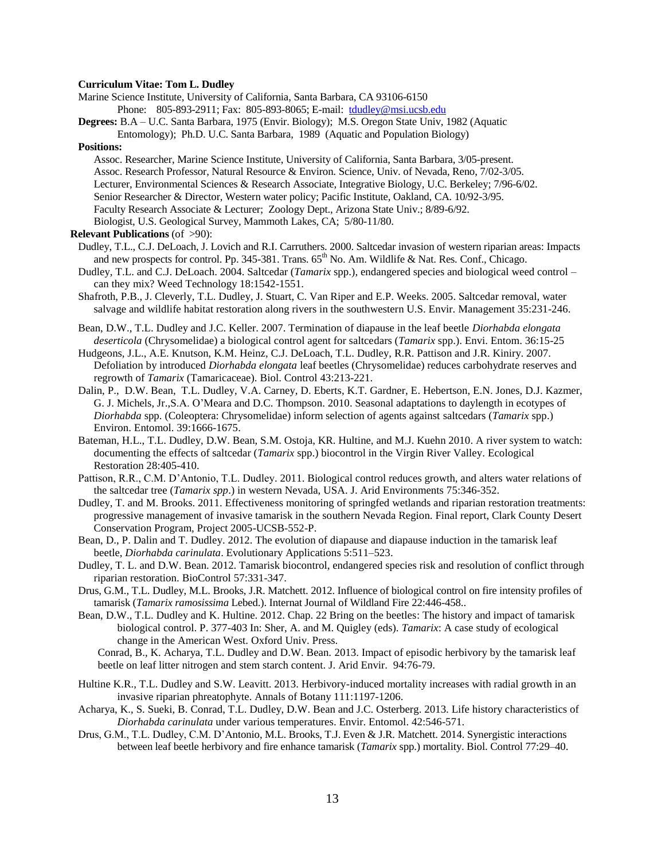#### **Curriculum Vitae: Tom L. Dudley**

- Marine Science Institute, University of California, Santa Barbara, CA 93106-6150
	- Phone: 805-893-2911; Fax: 805-893-8065; E-mail: [tdudley@msi.ucsb.edu](mailto:tdudley@msi.ucsb.edu)
- **Degrees:** B.A U.C. Santa Barbara, 1975 (Envir. Biology); M.S. Oregon State Univ, 1982 (Aquatic Entomology); Ph.D. U.C. Santa Barbara, 1989 (Aquatic and Population Biology)

#### **Positions:**

- Assoc. Researcher, Marine Science Institute, University of California, Santa Barbara, 3/05-present. Assoc. Research Professor, Natural Resource & Environ. Science, Univ. of Nevada, Reno, 7/02-3/05. Lecturer, Environmental Sciences & Research Associate, Integrative Biology, U.C. Berkeley; 7/96-6/02. Senior Researcher & Director, Western water policy; Pacific Institute, Oakland, CA. 10/92-3/95. Faculty Research Associate & Lecturer; Zoology Dept., Arizona State Univ.; 8/89-6/92.
- Biologist, U.S. Geological Survey, Mammoth Lakes, CA; 5/80-11/80.
- **Relevant Publications** (of >90):
- Dudley, T.L., C.J. DeLoach, J. Lovich and R.I. Carruthers. 2000. Saltcedar invasion of western riparian areas: Impacts and new prospects for control. Pp. 345-381. Trans.  $65<sup>th</sup>$  No. Am. Wildlife & Nat. Res. Conf., Chicago.
- Dudley, T.L. and C.J. DeLoach. 2004. Saltcedar (*Tamarix* spp.), endangered species and biological weed control can they mix? Weed Technology 18:1542-1551.
- Shafroth, P.B., J. Cleverly, T.L. Dudley, J. Stuart, C. Van Riper and E.P. Weeks. 2005. Saltcedar removal, water salvage and wildlife habitat restoration along rivers in the southwestern U.S. Envir. Management 35:231-246.
- Bean, D.W., T.L. Dudley and J.C. Keller. 2007. Termination of diapause in the leaf beetle *Diorhabda elongata deserticola* (Chrysomelidae) a biological control agent for saltcedars (*Tamarix* spp.). Envi. Entom. 36:15-25
- Hudgeons, J.L., A.E. Knutson, K.M. Heinz, C.J. DeLoach, T.L. Dudley, R.R. Pattison and J.R. Kiniry. 2007. Defoliation by introduced *Diorhabda elongata* leaf beetles (Chrysomelidae) reduces carbohydrate reserves and regrowth of *Tamarix* (Tamaricaceae). Biol. Control 43:213-221.
- Dalin, P., D.W. Bean, T.L. Dudley, V.A. Carney, D. Eberts, K.T. Gardner, E. Hebertson, E.N. Jones, D.J. Kazmer, G. J. Michels, Jr.,S.A. O'Meara and D.C. Thompson. 2010. Seasonal adaptations to daylength in ecotypes of *Diorhabda* spp. (Coleoptera: Chrysomelidae) inform selection of agents against saltcedars (*Tamarix* spp.) Environ. Entomol. 39:1666-1675.
- Bateman, H.L., T.L. Dudley, D.W. Bean, S.M. Ostoja, KR. Hultine, and M.J. Kuehn 2010. A river system to watch: documenting the effects of saltcedar (*Tamarix* spp.) biocontrol in the Virgin River Valley. Ecological Restoration 28:405-410.
- Pattison, R.R., C.M. D'Antonio, T.L. Dudley. 2011. Biological control reduces growth, and alters water relations of the saltcedar tree (*Tamarix spp*.) in western Nevada, USA. J. Arid Environments 75:346-352.
- Dudley, T. and M. Brooks. 2011. Effectiveness monitoring of springfed wetlands and riparian restoration treatments: progressive management of invasive tamarisk in the southern Nevada Region. Final report, Clark County Desert Conservation Program, Project 2005-UCSB-552-P.
- Bean, D., P. Dalin and T. Dudley. 2012. The evolution of diapause and diapause induction in the tamarisk leaf beetle, *Diorhabda carinulata*. Evolutionary Applications 5:511–523.
- Dudley, T. L. and D.W. Bean. 2012. Tamarisk biocontrol, endangered species risk and resolution of conflict through riparian restoration. BioControl 57:331-347.
- Drus, G.M., T.L. Dudley, M.L. Brooks, J.R. Matchett. 2012. Influence of biological control on fire intensity profiles of tamarisk (*Tamarix ramosissima* Lebed.). Internat Journal of Wildland Fire 22:446-458..
- Bean, D.W., T.L. Dudley and K. Hultine. 2012. Chap. 22 Bring on the beetles: The history and impact of tamarisk biological control. P. 377-403 In: Sher, A. and M. Quigley (eds). *Tamarix*: A case study of ecological change in the American West. Oxford Univ. Press.

Conrad, B., K. Acharya, T.L. Dudley and D.W. Bean. 2013. Impact of episodic herbivory by the tamarisk leaf beetle on leaf litter nitrogen and stem starch content. J. Arid Envir. 94:76-79.

- Hultine K.R., T.L. Dudley and S.W. Leavitt. 2013. Herbivory-induced mortality increases with radial growth in an invasive riparian phreatophyte. Annals of Botany 111:1197-1206.
- Acharya, K., S. Sueki, B. Conrad, T.L. Dudley, D.W. Bean and J.C. Osterberg. 2013. Life history characteristics of *Diorhabda carinulata* under various temperatures. Envir. Entomol. 42:546-571.
- Drus, G.M., T.L. Dudley, C.M. D'Antonio, M.L. Brooks, T.J. Even & J.R. Matchett. 2014. Synergistic interactions between leaf beetle herbivory and fire enhance tamarisk (*Tamarix* spp.) mortality. Biol. Control 77:29–40.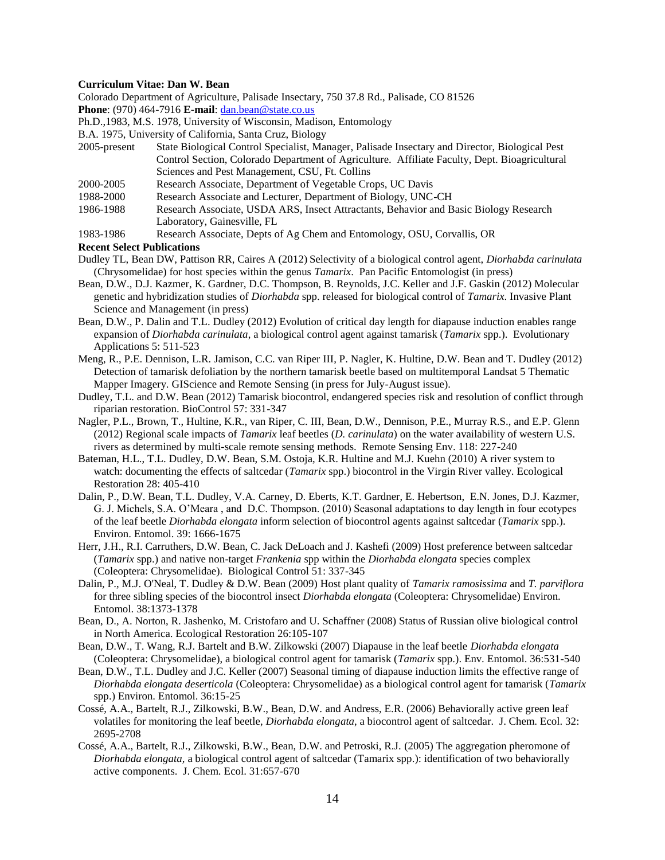## **Curriculum Vitae: Dan W. Bean**

Colorado Department of Agriculture, Palisade Insectary, 750 37.8 Rd., Palisade, CO 81526

**Phone**: (970) 464-7916 **E-mail**: [dan.bean@state.co.us](mailto:dan.bean@state.co.us)

Ph.D.,1983, M.S. 1978, University of Wisconsin, Madison, Entomology

B.A. 1975, University of California, Santa Cruz, Biology

- 2005-present State Biological Control Specialist, Manager, Palisade Insectary and Director, Biological Pest Control Section, Colorado Department of Agriculture. Affiliate Faculty, Dept. Bioagricultural Sciences and Pest Management, CSU, Ft. Collins
- 2000-2005 Research Associate, Department of Vegetable Crops, UC Davis
- 1988-2000 Research Associate and Lecturer, Department of Biology, UNC-CH
- 1986-1988 Research Associate, USDA ARS, Insect Attractants, Behavior and Basic Biology Research Laboratory, Gainesville, FL
- 1983-1986 Research Associate, Depts of Ag Chem and Entomology, OSU, Corvallis, OR

## **Recent Select Publications**

- Dudley TL, Bean DW, Pattison RR, Caires A (2012) Selectivity of a biological control agent, *Diorhabda carinulata* (Chrysomelidae) for host species within the genus *Tamarix*. Pan Pacific Entomologist (in press)
- Bean, D.W., D.J. Kazmer, K. Gardner, D.C. Thompson, B. Reynolds, J.C. Keller and J.F. Gaskin (2012) Molecular genetic and hybridization studies of *Diorhabda* spp. released for biological control of *Tamarix*. Invasive Plant Science and Management (in press)
- Bean, D.W., P. Dalin and T.L. Dudley (2012) Evolution of critical day length for diapause induction enables range expansion of *Diorhabda carinulata*, a biological control agent against tamarisk (*Tamarix* spp.). Evolutionary Applications 5: 511-523
- Meng, R., P.E. Dennison, L.R. Jamison, C.C. van Riper III, P. Nagler, K. Hultine, D.W. Bean and T. Dudley (2012) Detection of tamarisk defoliation by the northern tamarisk beetle based on multitemporal Landsat 5 Thematic Mapper Imagery. GIScience and Remote Sensing (in press for July-August issue).
- Dudley, T.L. and D.W. Bean (2012) Tamarisk biocontrol, endangered species risk and resolution of conflict through riparian restoration. BioControl 57: 331-347
- Nagler, P.L., Brown, T., Hultine, K.R., van Riper, C. III, Bean, D.W., Dennison, P.E., Murray R.S., and E.P. Glenn (2012) Regional scale impacts of *Tamarix* leaf beetles (*D. carinulata*) on the water availability of western U.S. rivers as determined by multi-scale remote sensing methods. Remote Sensing Env. 118: 227-240
- Bateman, H.L., T.L. Dudley, D.W. Bean, S.M. Ostoja, K.R. Hultine and M.J. Kuehn (2010) A river system to watch: documenting the effects of saltcedar (*Tamarix* spp.) biocontrol in the Virgin River valley. Ecological Restoration 28: 405-410
- Dalin, P., D.W. Bean, T.L. Dudley, V.A. Carney, D. Eberts, K.T. Gardner, E. Hebertson, E.N. Jones, D.J. Kazmer, G. J. Michels, S.A. O'Meara , and D.C. Thompson. (2010) Seasonal adaptations to day length in four ecotypes of the leaf beetle *Diorhabda elongata* inform selection of biocontrol agents against saltcedar (*Tamarix* spp.). Environ. Entomol. 39: 1666-1675
- Herr, J.H., R.I. Carruthers, D.W. Bean, C. Jack DeLoach and J. Kashefi (2009) Host preference between saltcedar (*Tamarix* spp.) and native non-target *Frankenia* spp within the *Diorhabda elongata* species complex (Coleoptera: Chrysomelidae). Biological Control 51: 337-345
- Dalin, P., M.J. O'Neal, T. Dudley & D.W. Bean (2009) Host plant quality of *Tamarix ramosissima* and *T. parviflora* for three sibling species of the biocontrol insect *Diorhabda elongata* (Coleoptera: Chrysomelidae) Environ. Entomol. 38:1373-1378
- Bean, D., A. Norton, R. Jashenko, M. Cristofaro and U. Schaffner (2008) Status of Russian olive biological control in North America. Ecological Restoration 26:105-107
- Bean, D.W., T. Wang, R.J. Bartelt and B.W. Zilkowski (2007) Diapause in the leaf beetle *Diorhabda elongata* (Coleoptera: Chrysomelidae), a biological control agent for tamarisk (*Tamarix* spp.). Env. Entomol. 36:531-540
- Bean, D.W., T.L. Dudley and J.C. Keller (2007) Seasonal timing of diapause induction limits the effective range of *Diorhabda elongata deserticola* (Coleoptera: Chrysomelidae) as a biological control agent for tamarisk (*Tamarix* spp.) Environ. Entomol. 36:15-25
- Cossé, A.A., Bartelt, R.J., Zilkowski, B.W., Bean, D.W. and Andress, E.R. (2006) Behaviorally active green leaf volatiles for monitoring the leaf beetle, *Diorhabda elongata*, a biocontrol agent of saltcedar. J. Chem. Ecol. 32: 2695-2708
- Cossé, A.A., Bartelt, R.J., Zilkowski, B.W., Bean, D.W. and Petroski, R.J. (2005) The aggregation pheromone of *Diorhabda elongata,* a biological control agent of saltcedar (Tamarix spp.): identification of two behaviorally active components. J. Chem. Ecol. 31:657-670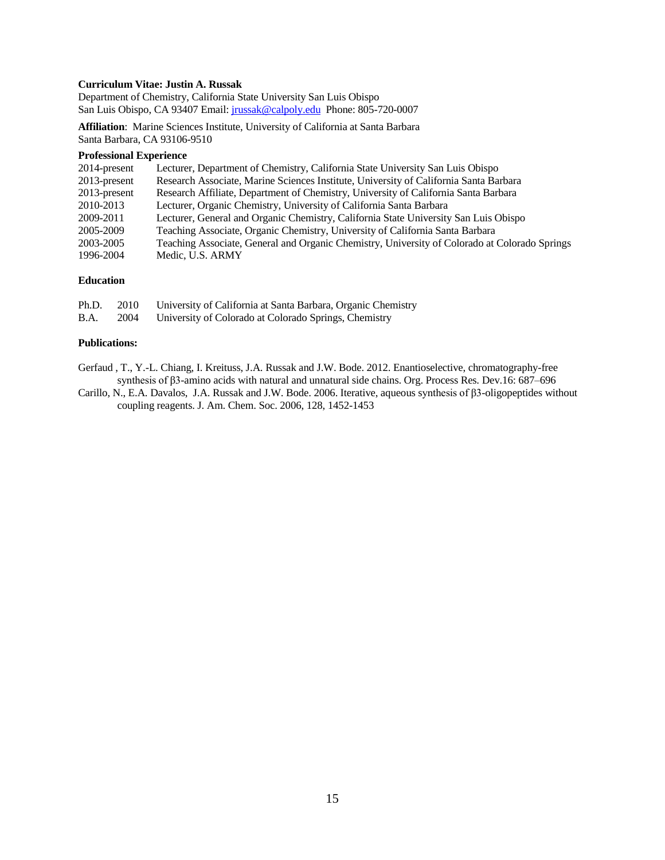## **Curriculum Vitae: Justin A. Russak**

Department of Chemistry, California State University San Luis Obispo San Luis Obispo, CA 93407 Email: [jrussak@calpoly.edu](mailto:jrussak@calpoly.edu) Phone: 805-720-0007

**Affiliation**: Marine Sciences Institute, University of California at Santa Barbara Santa Barbara, CA 93106-9510

#### **Professional Experience**

| 2014-present    | Lecturer, Department of Chemistry, California State University San Luis Obispo                |
|-----------------|-----------------------------------------------------------------------------------------------|
| $2013$ -present | Research Associate, Marine Sciences Institute, University of California Santa Barbara         |
| 2013-present    | Research Affiliate, Department of Chemistry, University of California Santa Barbara           |
| 2010-2013       | Lecturer, Organic Chemistry, University of California Santa Barbara                           |
| 2009-2011       | Lecturer, General and Organic Chemistry, California State University San Luis Obispo          |
| 2005-2009       | Teaching Associate, Organic Chemistry, University of California Santa Barbara                 |
| 2003-2005       | Teaching Associate, General and Organic Chemistry, University of Colorado at Colorado Springs |
| 1996-2004       | Medic, U.S. ARMY                                                                              |

## **Education**

| Ph.D.       | 2010 | University of California at Santa Barbara, Organic Chemistry |
|-------------|------|--------------------------------------------------------------|
| <b>B.A.</b> | 2004 | University of Colorado at Colorado Springs, Chemistry        |

#### **Publications:**

[Gerfaud](http://cdn-pubs.acs.org/action/doSearch?action=search&author=Gerfaud%2C+T&qsSearchArea=author) , T., Y.-L. [Chiang,](http://cdn-pubs.acs.org/action/doSearch?action=search&author=Chiang%2C+Y&qsSearchArea=author) I. [Kreituss,](http://cdn-pubs.acs.org/action/doSearch?action=search&author=Kreituss%2C+I&qsSearchArea=author) J.A[. Russak](http://cdn-pubs.acs.org/action/doSearch?action=search&author=Russak%2C+J+A&qsSearchArea=author) and [J.W. Bode.](http://cdn-pubs.acs.org/action/doSearch?action=search&author=Bode%2C+J+W&qsSearchArea=author) 2012. Enantioselective, chromatography-free synthesis of β3-amino acids with natural and unnatural side chains. Org. Process Res. Dev.16: 687–696

Carillo, N., E.A. Davalos, J.A. Russak and J.W. Bode. 2006. Iterative, aqueous synthesis of β3-oligopeptides without coupling reagents. J. Am. Chem. Soc. 2006, 128, 1452-1453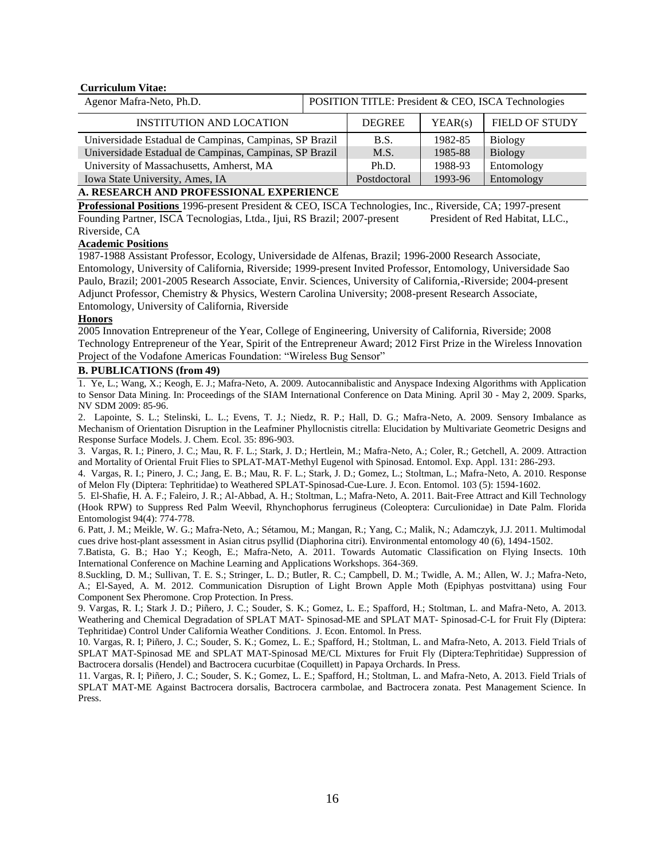#### **Curriculum Vitae:**

| Agenor Mafra-Neto, Ph.D. | <b>POSITION TITLE: President &amp; CEO, ISCA Technologies</b> |
|--------------------------|---------------------------------------------------------------|
|--------------------------|---------------------------------------------------------------|

| <b>INSTITUTION AND LOCATION</b>                        | <b>DEGREE</b> | YEAR(s) | <b>FIELD OF STUDY</b> |
|--------------------------------------------------------|---------------|---------|-----------------------|
| Universidade Estadual de Campinas, Campinas, SP Brazil | <b>B.S.</b>   | 1982-85 | <b>Biology</b>        |
| Universidade Estadual de Campinas, Campinas, SP Brazil | M.S.          | 1985-88 | <b>Biology</b>        |
| University of Massachusetts, Amherst, MA               | Ph.D.         | 1988-93 | Entomology            |
| Iowa State University, Ames, IA                        | Postdoctoral  | 1993-96 | Entomology            |

#### **A. RESEARCH AND PROFESSIONAL EXPERIENCE**

**Professional Positions** 1996-present President & CEO, ISCA Technologies, Inc., Riverside, CA; 1997-present Founding Partner, ISCA Tecnologias, Ltda., Ijui, RS Brazil; 2007-present President of Red Habitat, LLC., Riverside, CA

## **Academic Positions**

1987-1988 Assistant Professor, Ecology, Universidade de Alfenas, Brazil; 1996-2000 Research Associate, Entomology, University of California, Riverside; 1999-present Invited Professor, Entomology, Universidade Sao Paulo, Brazil; 2001-2005 Research Associate, Envir. Sciences, University of California,-Riverside; 2004-present Adjunct Professor, Chemistry & Physics, Western Carolina University; 2008-present Research Associate, Entomology, University of California, Riverside

## **Honors**

2005 Innovation Entrepreneur of the Year, College of Engineering, University of California, Riverside; 2008 Technology Entrepreneur of the Year, Spirit of the Entrepreneur Award; 2012 First Prize in the Wireless Innovation Project of the Vodafone Americas Foundation: "Wireless Bug Sensor"

#### **B. PUBLICATIONS (from 49)**

1. Ye, L.; Wang, X.; Keogh, E. J.; Mafra-Neto, A. 2009. Autocannibalistic and Anyspace Indexing Algorithms with Application to Sensor Data Mining. In: Proceedings of the SIAM International Conference on Data Mining. April 30 - May 2, 2009. Sparks, NV SDM 2009: 85-96.

2. Lapointe, S. L.; Stelinski, L. L.; Evens, T. J.; Niedz, R. P.; Hall, D. G.; Mafra-Neto, A. 2009. Sensory Imbalance as Mechanism of Orientation Disruption in the Leafminer Phyllocnistis citrella: Elucidation by Multivariate Geometric Designs and Response Surface Models. J. Chem. Ecol. 35: 896-903.

3. Vargas, R. I.; Pinero, J. C.; Mau, R. F. L.; Stark, J. D.; Hertlein, M.; Mafra-Neto, A.; Coler, R.; Getchell, A. 2009. Attraction and Mortality of Oriental Fruit Flies to SPLAT-MAT-Methyl Eugenol with Spinosad. Entomol. Exp. Appl. 131: 286-293.

4. Vargas, R. I.; Pinero, J. C.; Jang, E. B.; Mau, R. F. L.; Stark, J. D.; Gomez, L.; Stoltman, L.; Mafra-Neto, A. 2010. Response of Melon Fly (Diptera: Tephritidae) to Weathered SPLAT-Spinosad-Cue-Lure. J. Econ. Entomol. 103 (5): 1594-1602.

5. El-Shafie, H. A. F.; Faleiro, J. R.; Al-Abbad, A. H.; Stoltman, L.; Mafra-Neto, A. 2011. Bait-Free Attract and Kill Technology (Hook RPW) to Suppress Red Palm Weevil, Rhynchophorus ferrugineus (Coleoptera: Curculionidae) in Date Palm. Florida Entomologist 94(4): 774-778.

6. Patt, J. M.; Meikle, W. G.; Mafra-Neto, A.; Sétamou, M.; Mangan, R.; Yang, C.; Malik, N.; Adamczyk, J.J. 2011. Multimodal cues drive host-plant assessment in Asian citrus psyllid (Diaphorina citri). Environmental entomology 40 (6), 1494-1502.

7.Batista, G. B.; Hao Y.; Keogh, E.; Mafra-Neto, A. 2011. Towards Automatic Classification on Flying Insects. 10th International Conference on Machine Learning and Applications Workshops. 364-369.

8.Suckling, D. M.; Sullivan, T. E. S.; Stringer, L. D.; Butler, R. C.; Campbell, D. M.; Twidle, A. M.; Allen, W. J.; Mafra-Neto, A.; El-Sayed, A. M. 2012. Communication Disruption of Light Brown Apple Moth (Epiphyas postvittana) using Four Component Sex Pheromone. Crop Protection. In Press.

9. Vargas, R. I.; Stark J. D.; Piñero, J. C.; Souder, S. K.; Gomez, L. E.; Spafford, H.; Stoltman, L. and Mafra-Neto, A. 2013. Weathering and Chemical Degradation of SPLAT MAT- Spinosad-ME and SPLAT MAT- Spinosad-C-L for Fruit Fly (Diptera: Tephritidae) Control Under California Weather Conditions. J. Econ. Entomol. In Press.

10. Vargas, R. I; Piñero, J. C.; Souder, S. K.; Gomez, L. E.; Spafford, H.; Stoltman, L. and Mafra-Neto, A. 2013. Field Trials of SPLAT MAT-Spinosad ME and SPLAT MAT-Spinosad ME/CL Mixtures for Fruit Fly (Diptera:Tephritidae) Suppression of Bactrocera dorsalis (Hendel) and Bactrocera cucurbitae (Coquillett) in Papaya Orchards. In Press.

11. Vargas, R. I; Piñero, J. C.; Souder, S. K.; Gomez, L. E.; Spafford, H.; Stoltman, L. and Mafra-Neto, A. 2013. Field Trials of SPLAT MAT-ME Against Bactrocera dorsalis, Bactrocera carmbolae, and Bactrocera zonata. Pest Management Science. In Press.